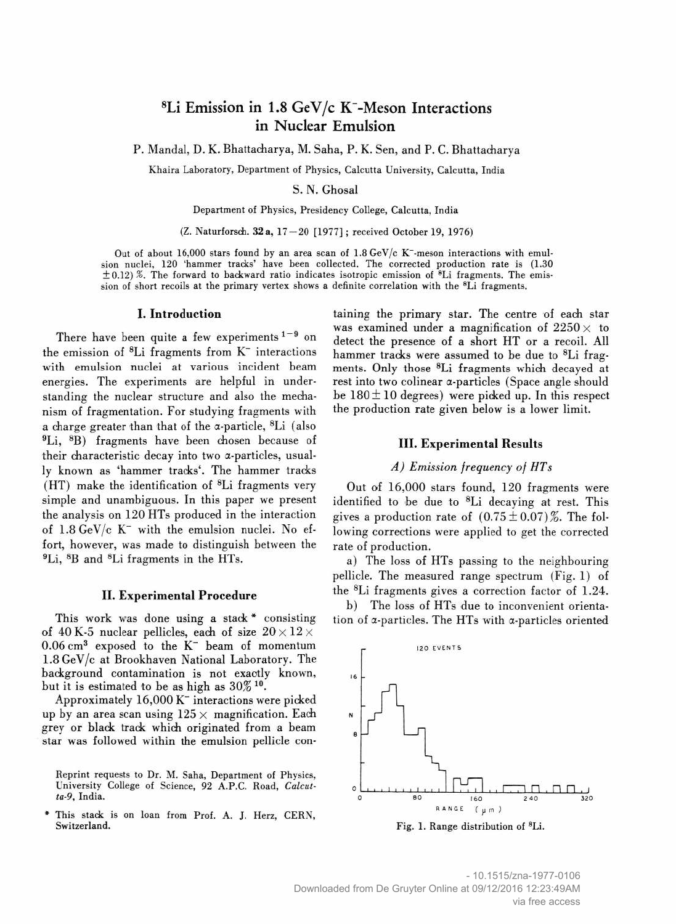# ${}^{8}$ Li Emission in 1.8 GeV/c K<sup>-</sup>-Meson Interactions in Nuclear Emulsion

P. Mandal, D. K. Bhattacharya, M. Saha, P. K. Sen, and P. C. Bhattacharya

Khaira Laboratory, Department of Physics, Calcutta University, Calcutta, India

#### S. N. Ghosal

Department of Physics, Presidency College, Calcutta, India

(Z. Naturforsch. 32 a, 17-20 [1977]; received October 19, 1976)

Out of about 16,000 stars found by an area scan of 1.8 GeV/c K<sup>-</sup>-meson interactions with emulsion nuclei, 120 'hammer tracks' have been collected. The corrected production rate is (1.30  $\pm$  0.12) %. The forward to backward ratio indicates isotropic emission of <sup>8</sup>Li fragments. The emission of short recoils at the primary vertex shows a definite correlation with the 8Li fragments.

#### I. Introduction

There have been quite a few experiments  $1-9$  on the emission of  ${}^{8}Li$  fragments from K<sup> $-$ </sup> interactions with emulsion nuclei at various incident beam energies. The experiments are helpful in understanding the nuclear structure and also the mechanism of fragmentation. For studying fragments with a charge greater than that of the  $\alpha$ -particle, <sup>8</sup>Li (also 9Li, 8B) fragments have been chosen because of their characteristic decay into two a-particles, usually known as 'hammer tracks'. The hammer tracks (HT) make the identification of 8Li fragments very simple and unambiguous. In this paper we present the analysis on 120 HTs produced in the interaction of  $1.8 \text{ GeV/c K}^-$  with the emulsion nuclei. No effort, however, was made to distinguish between the 9Li, 8B and 8Li fragments in the HTs.

### II. Experimental Procedure

This work was done using a stack  $*$  consisting of 40 K-5 nuclear pellicles, each of size  $20 \times 12 \times$  $0.06$  cm<sup>3</sup> exposed to the  $K^-$  beam of momentum 1.8 GeV/c at Brookhaven National Laboratory. The background contamination is not exactly known, but it is estimated to be as high as 30% 10.

Approximately 16,000 K" interactions were picked up by an area scan using  $125 \times$  magnification. Each grey or blade track which originated from a beam star was followed within the emulsion pellicle con-

Reprint requests to Dr. M. Saha, Department of Physics, University College of Science, 92 A.P.C. Road, Calcutta-9, India.

This stack is on loan from Prof. A. J. Herz, CERN, Switzerland.

taining the primary star. The centre of each star was examined under a magnification of  $2250 \times$  to detect the presence of a short HT or a recoil. All hammer tracks were assumed to be due to <sup>8</sup>Li fragments. Only those 8Li fragments which decayed at rest into two colinear a-particles (Space angle should be  $180 \pm 10$  degrees) were picked up. In this respect the production rate given below is a lower limit.

### III. Experimental Results

# A) Emission frequency of HTs

Out of 16,000 stars found, 120 fragments were identified to be due to 8Li decaying at rest. This gives a production rate of  $(0.75 \pm 0.07)\%$ . The following corrections were applied to get the corrected rate of production.

a) The loss of HTs passing to the neighbouring pellicle. The measured range spectrum (Fig. 1) of the 8Li fragments gives a correction factor of 1.24.

b) The loss of HTs due to inconvenient orientation of a-particles. The HTs with a-particles oriented



Fig. 1. Range distribution of 8Li.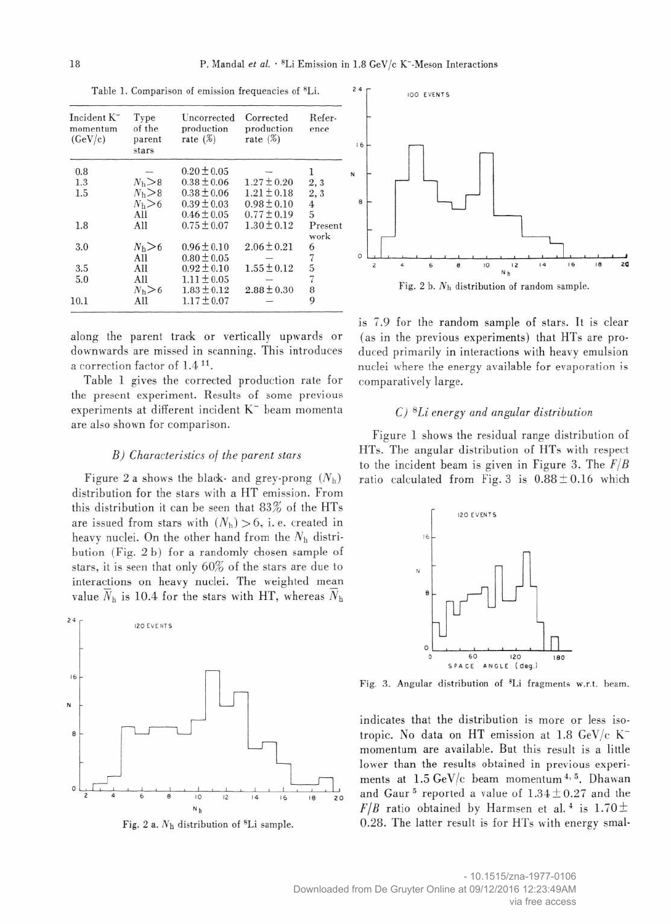| Incident K <sup>-</sup><br>momentum<br>(GeV/c) | Type<br>of the<br>parent<br>stars | Uncorrected<br>production<br>rate $(\%)$ | Corrected<br>production<br>rate $(\%)$ | Refer-<br>ence  |
|------------------------------------------------|-----------------------------------|------------------------------------------|----------------------------------------|-----------------|
| 0.8                                            |                                   | $0.20 \pm 0.05$                          |                                        |                 |
| 1.3                                            | N <sub>b</sub> > 8                | $0.38 \pm 0.06$                          | $1.27 \pm 0.20$                        | 2, 3            |
| 1.5                                            | N <sub>h</sub> > 8                | $0.38 \pm 0.06$                          | $1.21 \pm 0.18$                        | 2, 3            |
|                                                | N <sub>h</sub> > 6                | $0.39 \pm 0.03$                          | $0.98 \pm 0.10$                        | 4               |
|                                                | All                               | $0.46 \pm 0.05$                          | $0.77 \pm 0.19$                        | 5               |
| 1.8                                            | All                               | $0.75 \pm 0.07$                          | $1.30 \pm 0.12$                        | Present<br>work |
| 3.0                                            | $N_h > 6$                         | $0.96 \pm 0.10$                          | $2.06 \pm 0.21$                        |                 |
|                                                | All                               | $0.80 \pm 0.05$                          |                                        | $\frac{6}{7}$   |
| 3.5                                            | All                               | $0.92 \pm 0.10$                          | $1.55 \pm 0.12$                        | 5               |
| 5.0                                            | All                               | $1.11 \pm 0.05$                          |                                        | 7               |
|                                                | $N_h > 6$                         | $1.83 \pm 0.12$                          | $2.88 \pm 0.30$                        | 8               |
| 10.1                                           | All                               | $1.17 \pm 0.07$                          |                                        | 9               |

Table 1. Comparison of emission frequencies of 8Li.

along the parent track or vertically upwards or downwards are missed in scanning. This introduces a correction factor of 1.4<sup>11</sup>.

Table 1 gives the corrected production rate for the present experiment. Results of some previous experiments at different incident K<sup>-</sup> beam momenta are also shown for comparison.

#### B) Characteristics of the parent stars

Figure 2 a shows the black- and grey-prong  $(N_h)$ distribution for the stars with a HT emission. From this distribution it can be seen that 83% of the HTs are issued from stars with  $(N_h) > 6$ , i.e. created in heavy nuclei. On the other hand from the  $N<sub>h</sub>$  distribution (Fig. 2 b) for a randomly chosen sample of stars, it is seen that only 60% of the stars are due to interactions on heavy nuclei. The weighted mean value  $\overline{N}_h$  is 10.4 for the stars with HT, whereas  $\overline{N}_h$ 

 $24$ **IZO EVENTS**  $16$ N  $\theta$  $10$  $12$  $\overline{14}$  $16$  $20$ 





Fig. 2 b.  $N<sub>h</sub>$  distribution of random sample.

is 7.9 for the random sample of stars. It is clear (as in the previous experiments) that HTs are produced primarily in interactions with heavy emulsion nuclei where the energy available for evaporation is comparatively large.

# C) 8Li energy and angular distribution

Figure 1 shows the residual range distribution of HTs. The angular distribution of HTs with respect to the incident beam is given in Figure 3. The  $F/B$ ratio calculated from Fig. 3 is  $0.88 \pm 0.16$  which



Fig. 3. Angular distribution of 8Li fragments w.r.t. beam.

indicates that the distribution is more or less isotropic. No data on HT emission at 1.8 GeV/c Kmomentum are available. But this result is a little lower than the results obtained in previous experiments at  $1.5 \text{ GeV/c}$  beam momentum<sup>4,5</sup>. Dhawan and Gaur<sup>5</sup> reported a value of  $1.34 \pm 0.27$  and the  $F/B$  ratio obtained by Harmsen et al.<sup>4</sup> is 1.70  $\pm$ 0.28. The latter result is for HTs with energy smal-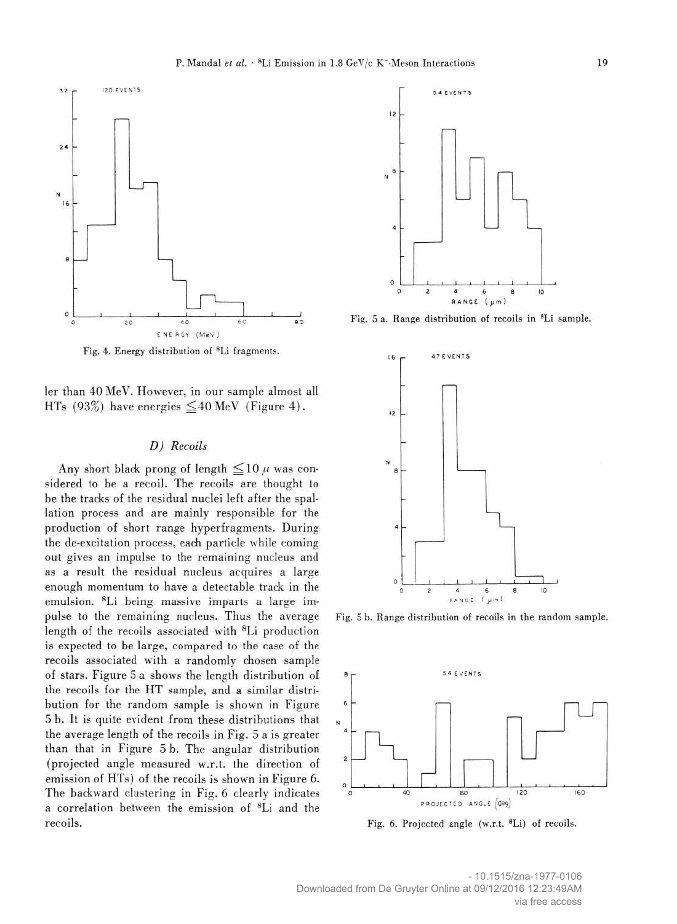

Fig. 4. Energy distribution of 8Li fragments.

ler than 40 MeV. However, in our sample almost all HTs (93%) have energies  $\leq$  40 MeV (Figure 4).

### D) Recoils

Any short black prong of length  $\leq$ 10  $\mu$  was considered to be a recoil. The recoils are thought to be the trades of the residual nuclei left after the spallation process and are mainly responsible for the production of short range hyperfragments. During the de-excitation process, each particle while coming out gives an impulse to the remaining nucleus and as a result the residual nucleus acquires a large enough momentum to have a detectable track in the emulsion. 8Li being massive imparts a large impulse to the remaining nucleus. Thus the average length of the recoils associated with 8Li production is expected to be large, compared to the case of the recoils associated with a randomly chosen sample of stars. Figure 5 a shows the length distribution of the recoils for the HT sample, and a similar distribution for the random sample is shown in Figure 5 b. It is quite evident from these distributions that the average length of the recoils in Fig. 5 a is greater than that in Figure 5 b. The angular distribution (projected angle measured w.r.t. the direction of emission of HTs) of the recoils is shown in Figure 6. The backward clustering in Fig. 6 clearly indicates a correlation between the emission of 8Li and the recoils.



Fig. 5 a. Range distribution of recoils in 8Li sample.



Fig. 5 b. Range distribution of recoils in the random sample.



Fig. 6. Projected angle (w.r.t. 8Li) of recoils.